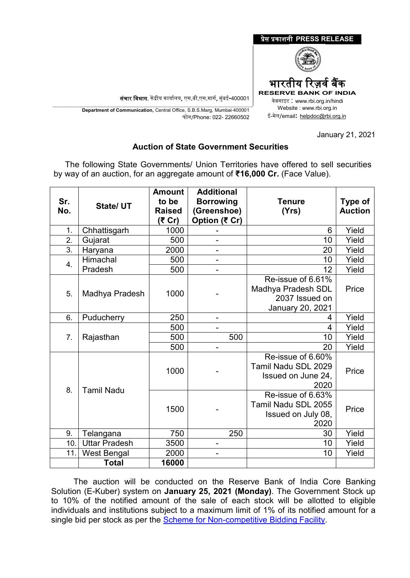

## January 21, 2021

## **Auction of State Government Securities**

 The following State Governments/ Union Territories have offered to sell securities by way of an auction, for an aggregate amount of **₹16,000 Cr.** (Face Value).

| Sr.<br>No. | State/ UT            | <b>Amount</b><br>to be<br><b>Raised</b><br>(₹ Cr) | <b>Additional</b><br><b>Borrowing</b><br>(Greenshoe)<br>Option (₹ Cr) | <b>Tenure</b><br>(Yrs)                                                               | <b>Type of</b><br><b>Auction</b> |
|------------|----------------------|---------------------------------------------------|-----------------------------------------------------------------------|--------------------------------------------------------------------------------------|----------------------------------|
| 1.         | Chhattisgarh         | 1000                                              |                                                                       | 6                                                                                    | Yield                            |
| 2.         | Gujarat              | 500                                               | $\overline{\phantom{0}}$                                              | 10                                                                                   | Yield                            |
| 3.         | Haryana              | 2000                                              | ÷                                                                     | 20                                                                                   | Yield                            |
| 4.         | Himachal             | 500                                               | -                                                                     | 10                                                                                   | Yield                            |
|            | Pradesh              | 500                                               | $\overline{\phantom{0}}$                                              | 12                                                                                   | Yield                            |
| 5.         | Madhya Pradesh       | 1000                                              |                                                                       | Re-issue of 6.61%<br>Madhya Pradesh SDL<br>2037 Issued on<br><b>January 20, 2021</b> | Price                            |
| 6.         | Puducherry           | 250                                               | $\overline{\phantom{a}}$                                              | 4                                                                                    | Yield                            |
| 7.         | Rajasthan            | 500                                               | -                                                                     | 4                                                                                    | Yield                            |
|            |                      | 500                                               | 500                                                                   | 10                                                                                   | Yield                            |
|            |                      | 500                                               | $\blacksquare$                                                        | 20                                                                                   | Yield                            |
| 8.         | <b>Tamil Nadu</b>    | 1000                                              |                                                                       | Re-issue of 6.60%<br>Tamil Nadu SDL 2029<br>Issued on June 24,<br>2020               | Price                            |
|            |                      | 1500                                              |                                                                       | Re-issue of 6.63%<br>Tamil Nadu SDL 2055<br>Issued on July 08,<br>2020               | Price                            |
| 9.         | Telangana            | 750                                               | 250                                                                   | 30                                                                                   | Yield                            |
| 10.        | <b>Uttar Pradesh</b> | 3500                                              | -                                                                     | 10                                                                                   | Yield                            |
| 11.        | <b>West Bengal</b>   | 2000                                              | ÷                                                                     | 10                                                                                   | Yield                            |
|            | Total                | 16000                                             |                                                                       |                                                                                      |                                  |

The auction will be conducted on the Reserve Bank of India Core Banking Solution (E-Kuber) system on **January 25, 2021 (Monday)**. The Government Stock up to 10% of the notified amount of the sale of each stock will be allotted to eligible individuals and institutions subject to a maximum limit of 1% of its notified amount for a single bid per stock as per the [Scheme for Non-competitive Bidding Facility.](https://www.rbi.org.in/Scripts/NotificationUser.aspx?Id=11725&&Mode=0)